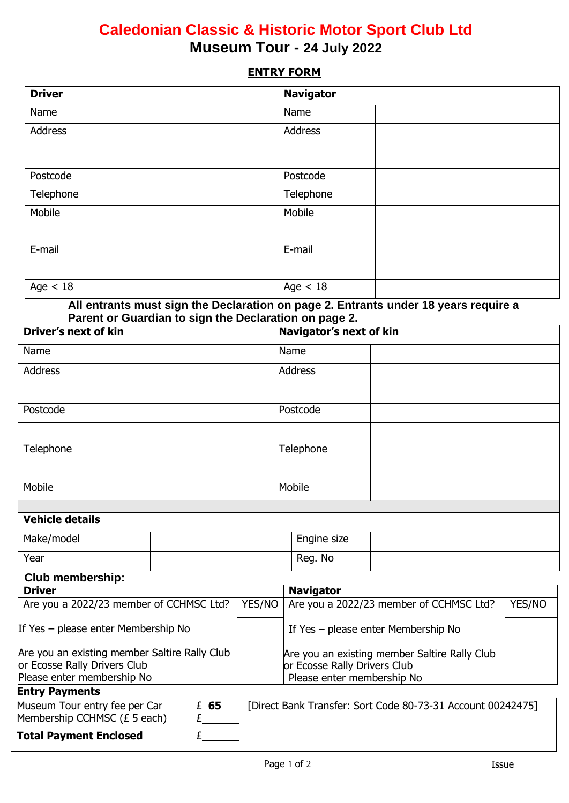## **Caledonian Classic & Historic Motor Sport Club Ltd Museum Tour - 24 July 2022**

## **ENTRY FORM**

| <b>Driver</b>           | <b>Navigator</b>          |
|-------------------------|---------------------------|
| Name                    | Name                      |
| Address                 | Address                   |
| Postcode                | Postcode                  |
| Telephone               | Telephone                 |
| Mobile                  | Mobile                    |
|                         |                           |
| E-mail                  | E-mail                    |
|                         |                           |
| Age $<$ 18<br>$- - - -$ | Age $< 18$<br>.<br>$\sim$ |

**All entrants must sign the Declaration on page 2. Entrants under 18 years require a Parent or Guardian to sign the Declaration on page 2.**

| <b>Driver's next of kin</b>                                                   |  |        | Navigator's next of kin |  |                                                                               |                                                             |  |  |
|-------------------------------------------------------------------------------|--|--------|-------------------------|--|-------------------------------------------------------------------------------|-------------------------------------------------------------|--|--|
| Name                                                                          |  |        |                         |  | Name                                                                          |                                                             |  |  |
| <b>Address</b>                                                                |  |        |                         |  | <b>Address</b>                                                                |                                                             |  |  |
| Postcode                                                                      |  |        |                         |  | Postcode                                                                      |                                                             |  |  |
|                                                                               |  |        |                         |  |                                                                               |                                                             |  |  |
| Telephone                                                                     |  |        |                         |  | Telephone                                                                     |                                                             |  |  |
|                                                                               |  |        |                         |  |                                                                               |                                                             |  |  |
| Mobile                                                                        |  |        | Mobile                  |  |                                                                               |                                                             |  |  |
| <b>Vehicle details</b>                                                        |  |        |                         |  |                                                                               |                                                             |  |  |
| Make/model                                                                    |  |        |                         |  | Engine size                                                                   |                                                             |  |  |
| Year                                                                          |  |        |                         |  | Reg. No                                                                       |                                                             |  |  |
| <b>Club membership:</b>                                                       |  |        |                         |  |                                                                               |                                                             |  |  |
| <b>Driver</b>                                                                 |  |        |                         |  | <b>Navigator</b>                                                              |                                                             |  |  |
| Are you a 2022/23 member of CCHMSC Ltd?                                       |  | YES/NO |                         |  | Are you a 2022/23 member of CCHMSC Ltd?                                       | YES/NO                                                      |  |  |
| If Yes - please enter Membership No                                           |  |        |                         |  |                                                                               | If Yes - please enter Membership No                         |  |  |
| Are you an existing member Saltire Rally Club<br>or Ecosse Rally Drivers Club |  |        |                         |  | Are you an existing member Saltire Rally Club<br>or Ecosse Rally Drivers Club |                                                             |  |  |
| Please enter membership No                                                    |  |        |                         |  | Please enter membership No                                                    |                                                             |  |  |
| <b>Entry Payments</b>                                                         |  |        |                         |  |                                                                               |                                                             |  |  |
| Museum Tour entry fee per Car                                                 |  | £ 65   |                         |  |                                                                               | [Direct Bank Transfer: Sort Code 80-73-31 Account 00242475] |  |  |

**Total Payment Enclosed** £

Membership CCHMSC ( $£ 5$ each)  $£$   $£$